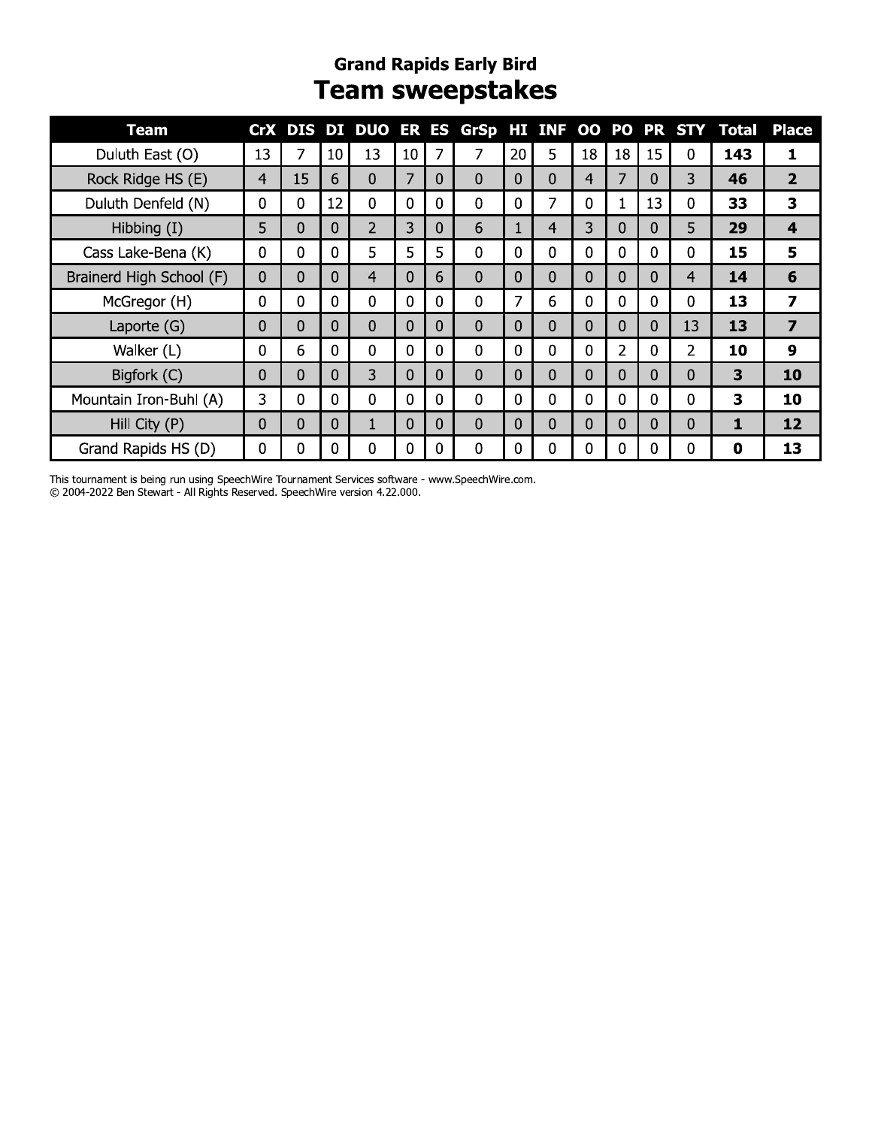#### **Grand Rapids Early Bird Team sweepstakes**

| Team                     |                |                |          |                |                |              |                |             |                |    |             |              |                | CrX DIS DI DUO ER ES GrSp HI INF OO PO PR STY Total | <b>Place</b>     |
|--------------------------|----------------|----------------|----------|----------------|----------------|--------------|----------------|-------------|----------------|----|-------------|--------------|----------------|-----------------------------------------------------|------------------|
| Duluth East (O)          | 13             | 7              | 10       | 13             | 10             | 7            | 7              | 20          | 5              | 18 | 18          | 15           | 0              | 143                                                 | 1                |
| Rock Ridge HS (E)        | $\overline{4}$ | 15             | 6        | 0              | 7              | 0            | $\Omega$       | $\Omega$    | $\mathbf 0$    | 4  | 7           | 0            | 3 <sup>1</sup> | 46                                                  | $\overline{2}$   |
| Duluth Denfeld (N)       | 0              | $\mathbf 0$    | 12       | $\mathbf{0}$   | 0              | $\mathbf 0$  | $\mathbf 0$    | $\mathbf 0$ | 7              | 0  | 1           | 13           | $\mathbf 0$    | 33                                                  | 3                |
| Hibbing $(I)$            | 5              | $\Omega$       | 0        | $\overline{2}$ | 3              | 0            | 6              | 1           | $\overline{4}$ | 3  | $\Omega$    | 0            | 5              | 29                                                  | 4                |
| Cass Lake-Bena (K)       | 0              | $\mathbf 0$    | $\Omega$ | 5              | 5              | 5            | $\mathbf 0$    | $\mathbf 0$ | $\mathbf 0$    | 0  | $\mathbf 0$ | $\Omega$     | $\mathbf 0$    | 15                                                  | 5                |
| Brainerd High School (F) | $\Omega$       | 0              | $\Omega$ | 4              | $\Omega$       | 6            | $\Omega$       | $\Omega$    | $\Omega$       | 0  | $\Omega$    | $\Omega$     | 4              | 14                                                  | 6                |
| McGregor (H)             | $\mathbf 0$    | $\mathbf 0$    | $\Omega$ | $\mathbf 0$    | $\mathbf{0}$   | $\mathbf{0}$ | $\mathbf 0$    | 7           | 6              | 0  | $\mathbf 0$ | $\mathbf{0}$ | $\mathbf 0$    | 13                                                  | $\overline{z}$   |
| Laporte $(G)$            | 0              | 0              | $\Omega$ | 0              | $\overline{0}$ | $\Omega$     | $\overline{0}$ | $\Omega$    | $\mathbf{0}$   | 0  | $\Omega$    | $\Omega$     | 13             | 13                                                  | $\overline{7}$   |
| Walker (L)               | $\mathbf 0$    | 6              | $\Omega$ | $\mathbf 0$    | $\mathbf 0$    | $\mathbf{0}$ | $\mathbf 0$    | $\Omega$    | $\Omega$       | 0  | 2           | $\Omega$     | $\overline{2}$ | 10                                                  | $\boldsymbol{9}$ |
| Bigfork (C)              | $\Omega$       | $\overline{0}$ | $\Omega$ | $\overline{3}$ | $\mathbf{0}$   | $\Omega$     | $\mathbf{0}$   | $\Omega$    | $\Omega$       | 0  | $\Omega$    | $\Omega$     | $\Omega$       | 3                                                   | 10               |
| Mountain Iron-Buhl (A)   | 3              | $\mathbf 0$    | $\Omega$ | $\Omega$       | $\mathbf{0}$   | $\mathbf 0$  | $\mathbf 0$    | $\Omega$    | $\overline{0}$ | 0  | $\mathbf 0$ | $\mathbf{0}$ | $\mathbf 0$    | 3                                                   | 10               |
| Hill City (P)            | 0              | 0              | $\Omega$ |                | $\mathbf{0}$   | 0            | $\Omega$       | $\Omega$    | $\mathbf 0$    | 0  | 0           | 0            | $\mathbf{0}$   | 1                                                   | 12               |
| Grand Rapids HS (D)      | 0              | 0              | 0        | 0              | 0              | $\Omega$     | $\Omega$       | 0           | 0              | 0  | 0           | 0            | 0              | 0                                                   | 13               |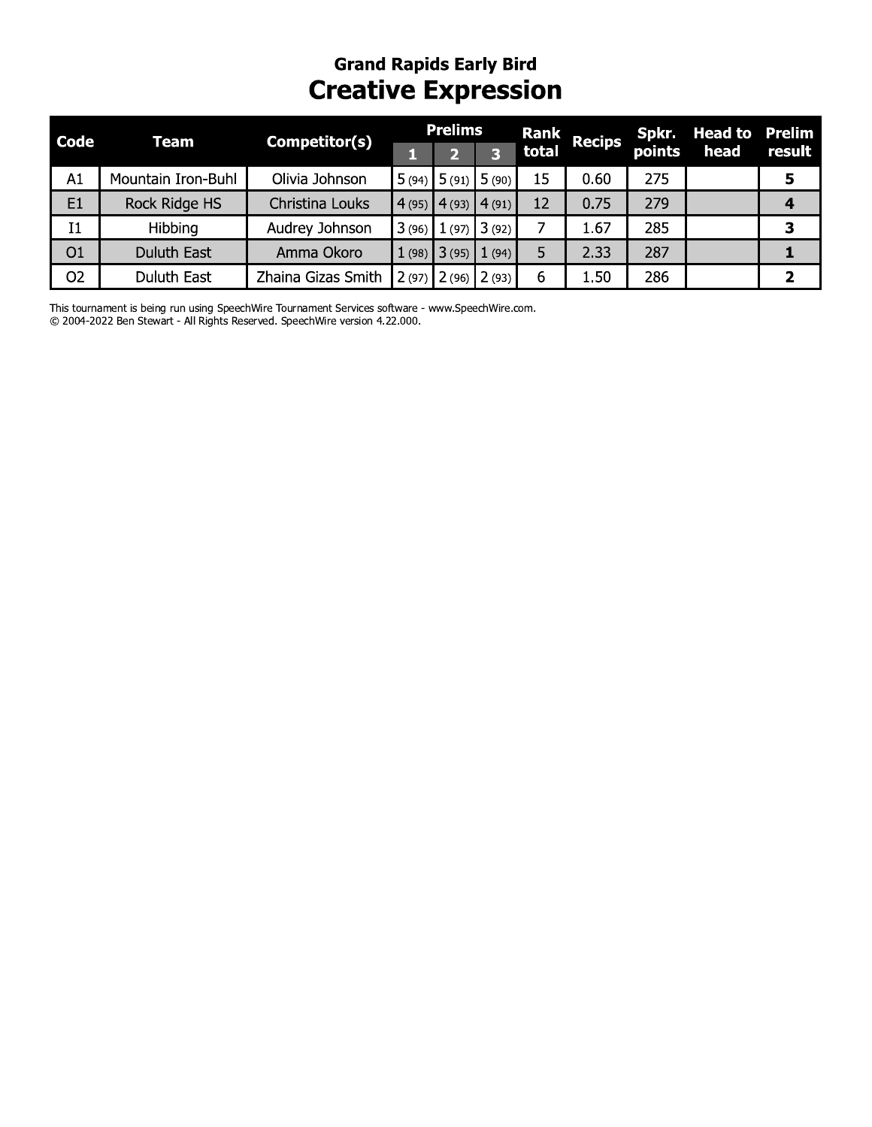## **Grand Rapids Early Bird Creative Expression**

| <b>Code</b>    | Team               | Competitor(s)      |        | Prelims               |       | Rank  | Recips | Spkr.  | <b>Head to</b> | Prelim |
|----------------|--------------------|--------------------|--------|-----------------------|-------|-------|--------|--------|----------------|--------|
|                |                    |                    |        |                       |       | total |        | points | head           | result |
| A1             | Mountain Iron-Buhl | Olivia Johnson     |        | $5(94)$ 5 (91) 5 (90) |       | 15    | 0.60   | 275    |                | 5      |
| E1             | Rock Ridge HS      | Christina Louks    | (4(95) | 4(93)                 | 4(91) | 12    | 0.75   | 279    |                | 4      |
| I <sub>1</sub> | Hibbing            | Audrey Johnson     | 3(96)  | (97)                  | 3(92) |       | 1.67   | 285    |                | 3      |
| O <sub>1</sub> | <b>Duluth East</b> | Amma Okoro         | 1(98)  | 3(95)                 | (94)  | 5     | 2.33   | 287    |                |        |
| O <sub>2</sub> | <b>Duluth East</b> | Zhaina Gizas Smith |        | $2(97)$ $2(96)$       | 2(93) | 6     | 1.50   | 286    |                | י      |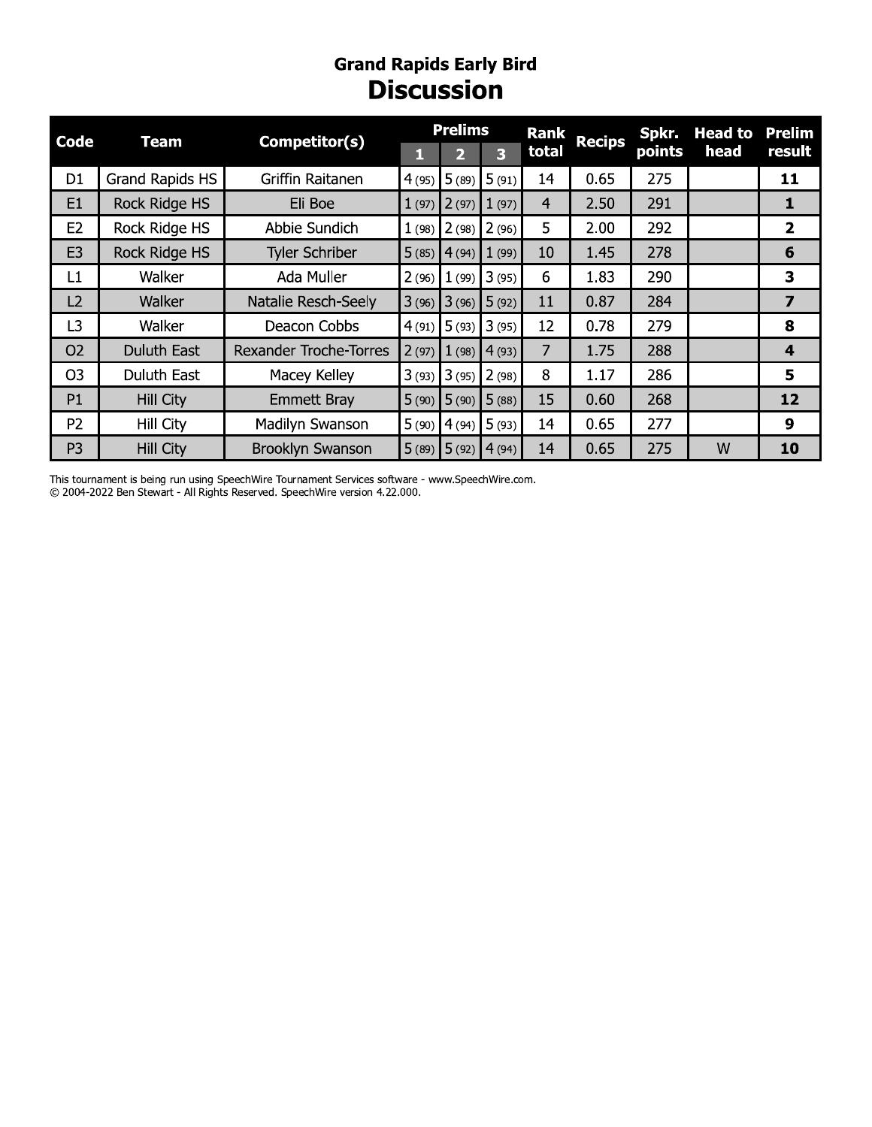### **Grand Rapids Early Bird<br>Discussion**

| <b>Code</b>    | <b>Team</b>          | Competitor(s)                 |       | <b>Prelims</b>  |        | <b>Rank</b>    | <b>Recips</b> | Spkr.  | <b>Head to</b> | <b>Prelim</b>           |
|----------------|----------------------|-------------------------------|-------|-----------------|--------|----------------|---------------|--------|----------------|-------------------------|
|                |                      |                               | н     | $\mathbf{D}$    | 3      | total          |               | points | head           | result                  |
| D <sub>1</sub> | Grand Rapids HS      | Griffin Raitanen              | 4(95) | 5(89)           | 5(91)  | 14             | 0.65          | 275    |                | 11                      |
| E <sub>1</sub> | <b>Rock Ridge HS</b> | Eli Boe                       |       | $1(97)$ 2(97)   | 1(97)  | $\overline{4}$ | 2.50          | 291    |                | 1                       |
| E <sub>2</sub> | Rock Ridge HS        | Abbie Sundich                 |       | $1(98)$ 2(98)   | 2(96)  | 5.             | 2.00          | 292    |                | $\overline{2}$          |
| E <sub>3</sub> | Rock Ridge HS        | <b>Tyler Schriber</b>         |       | $5(85)$ 4 (94)  | 1(99)  | 10             | 1.45          | 278    |                | 6                       |
| L1             | Walker               | Ada Muller                    | 2(96) | 1(99)           | 13(95) | 6              | 1.83          | 290    |                | 3                       |
| L2             | Walker               | Natalie Resch-Seely           |       | $3(96)$ $3(96)$ | 5(92)  | 11             | 0.87          | 284    |                | $\overline{\mathbf{z}}$ |
| L <sub>3</sub> | Walker               | Deacon Cobbs                  |       | $4(91)$ 5 (93)  | 3(95)  | 12             | 0.78          | 279    |                | 8                       |
| O <sub>2</sub> | Duluth East          | <b>Rexander Troche-Torres</b> |       | $2(97)$ $1(98)$ | 4(93)  | $\overline{7}$ | 1.75          | 288    |                | 4                       |
| O <sub>3</sub> | <b>Duluth East</b>   | Macey Kelley                  |       | $3(93)$ $3(95)$ | 2(98)  | 8              | 1.17          | 286    |                | 5                       |
| P1             | <b>Hill City</b>     | <b>Emmett Bray</b>            |       | $5(90)$ $5(90)$ | 5(88)  | 15             | 0.60          | 268    |                | 12                      |
| P <sub>2</sub> | Hill City            | Madilyn Swanson               | 5(90) | 4(94)           | 15(93) | 14             | 0.65          | 277    |                | 9                       |
| P <sub>3</sub> | <b>Hill City</b>     | <b>Brooklyn Swanson</b>       | 5(89) | 5(92)           | 4(94)  | 14             | 0.65          | 275    | W              | 10                      |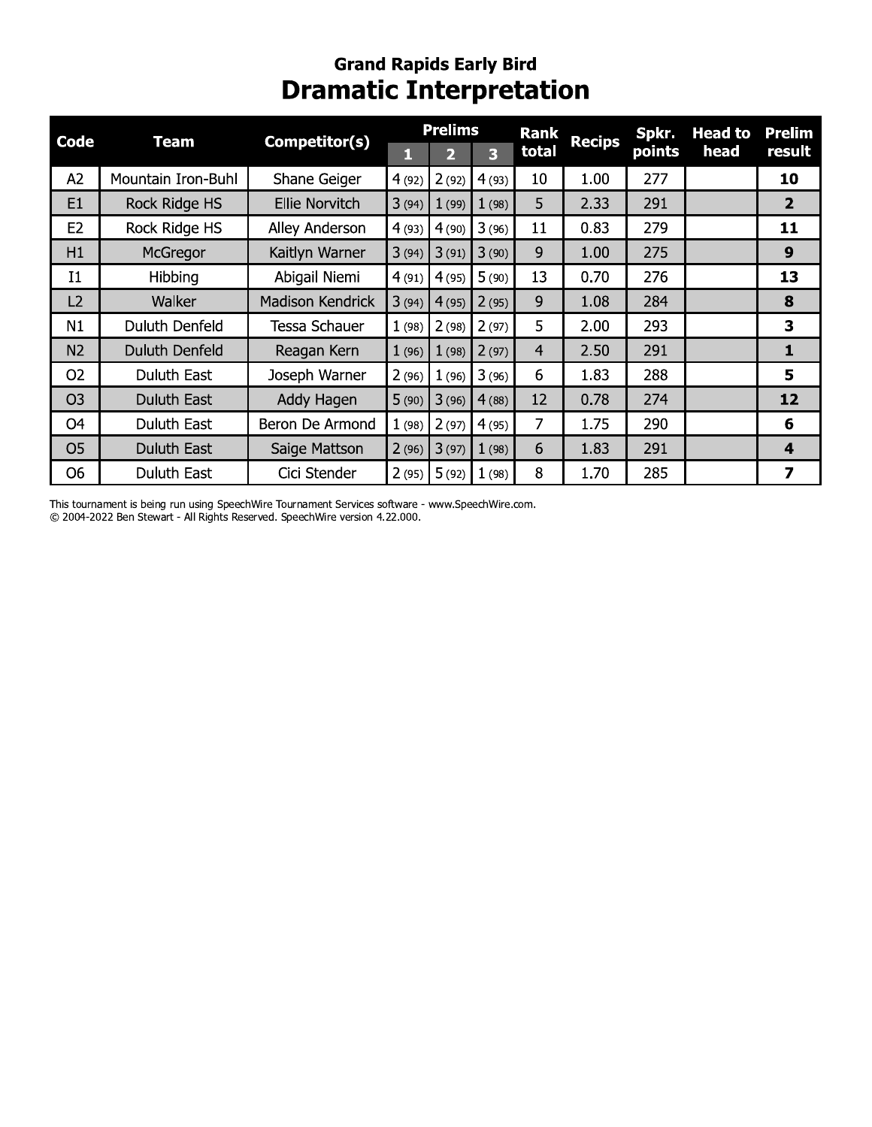### Grand Rapids Early Bird<br>Dramatic Interpretation

| <b>Code</b>    | <b>Team</b>           | Competitor(s)           |       | <b>Prelims</b> |                         | <b>Rank</b>    | <b>Recips</b> | Spkr.  | <b>Head to</b> | <b>Prelim</b>           |
|----------------|-----------------------|-------------------------|-------|----------------|-------------------------|----------------|---------------|--------|----------------|-------------------------|
|                |                       |                         | П     | 2              | $\overline{\mathbf{3}}$ | total          |               | points | head           | result                  |
| A2             | Mountain Iron-Buhl    | Shane Geiger            | 4(92) | 2(92)          | 4(93)                   | 10             | 1.00          | 277    |                | 10                      |
| E1             | Rock Ridge HS         | <b>Ellie Norvitch</b>   | 3(94) | 1(99)          | 1(98)                   | 5              | 2.33          | 291    |                | $\overline{2}$          |
| E <sub>2</sub> | Rock Ridge HS         | Alley Anderson          | 4(93) | 4(90)          | 3(96)                   | 11             | 0.83          | 279    |                | 11                      |
| H1             | McGregor              | Kaitlyn Warner          | 3(94) | 3(91)          | 3(90)                   | 9              | 1.00          | 275    |                | $\boldsymbol{9}$        |
| I1             | Hibbing               | Abigail Niemi           | 4(91) | 4(95)          | 5(90)                   | 13             | 0.70          | 276    |                | 13                      |
| L2             | Walker                | <b>Madison Kendrick</b> | 3(94) | 4(95)          | 2(95)                   | 9              | 1.08          | 284    |                | 8                       |
| N1             | Duluth Denfeld        | Tessa Schauer           | 1(98) | 2(98)          | 2(97)                   | 5              | 2.00          | 293    |                | 3                       |
| N <sub>2</sub> | <b>Duluth Denfeld</b> | Reagan Kern             | 1(96) | 1(98)          | 2(97)                   | $\overline{4}$ | 2.50          | 291    |                | $\mathbf{1}$            |
| O <sub>2</sub> | Duluth East           | Joseph Warner           | 2(96) | 1(96)          | 3(96)                   | 6              | 1.83          | 288    |                | 5                       |
| O <sub>3</sub> | Duluth East           | Addy Hagen              | 5(90) | 3(96)          | 4(88)                   | 12             | 0.78          | 274    |                | 12                      |
| O <sub>4</sub> | Duluth East           | Beron De Armond         | 1(98) | 2(97)          | 4(95)                   | 7              | 1.75          | 290    |                | 6                       |
| O <sub>5</sub> | Duluth East           | Saige Mattson           | 2(96) | 3(97)          | 1(98)                   | 6              | 1.83          | 291    |                | $\overline{\mathbf{4}}$ |
| O <sub>6</sub> | Duluth East           | Cici Stender            | 2(95) | 5(92)          | 1(98)                   | 8              | 1.70          | 285    |                | 7                       |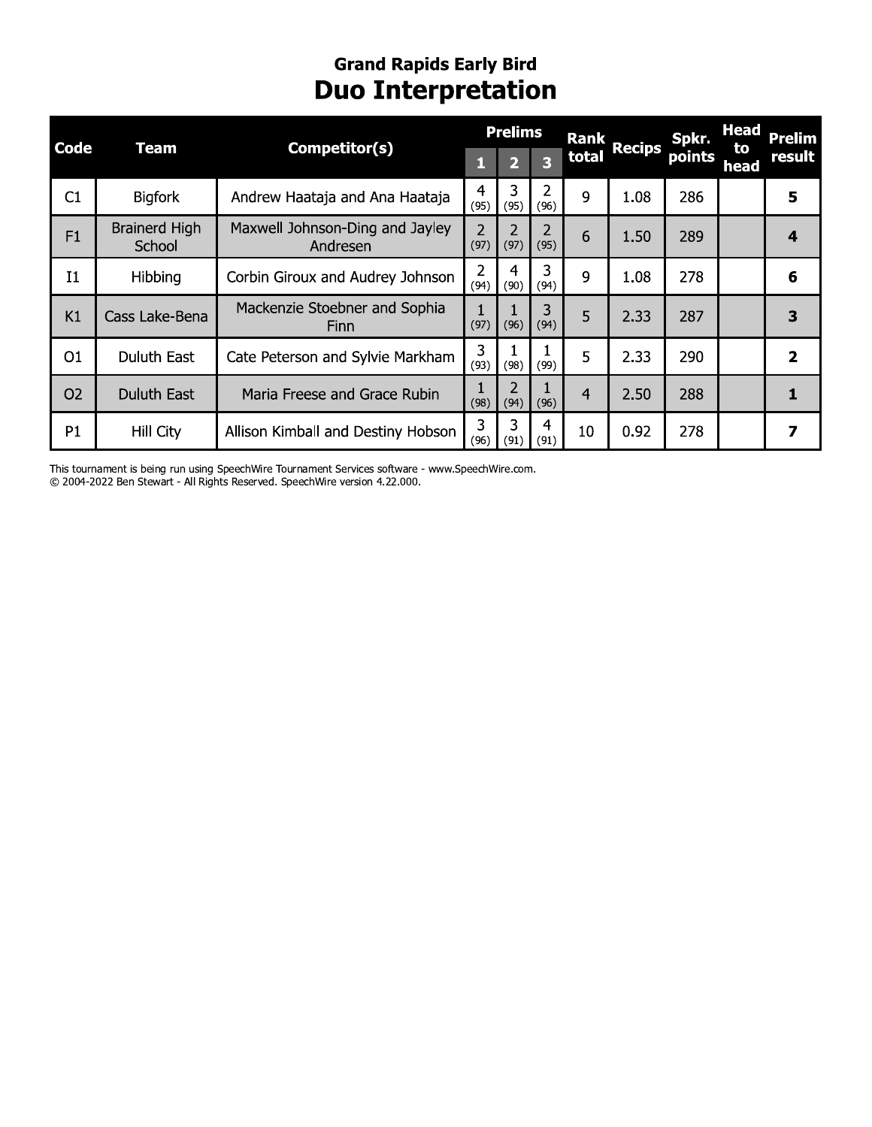### **Grand Rapids Early Bird Duo Interpretation**

| <b>Code</b>    | <b>Team</b>                    | Competitor(s)                                |                        | <b>Prelims</b> |           | <b>Rank</b>    | <b>Recips</b> | Spkr.  | <b>Head</b> | Prelim                  |
|----------------|--------------------------------|----------------------------------------------|------------------------|----------------|-----------|----------------|---------------|--------|-------------|-------------------------|
|                |                                |                                              | Ы                      |                | 3         | total          |               | points | to<br>head  | result                  |
| C1             | <b>Bigfork</b>                 | Andrew Haataja and Ana Haataja               | 4<br>(95)              | 3<br>(95)      | 2<br>(96) | q              | 1.08          | 286    |             | 5                       |
| F1             | <b>Brainerd High</b><br>School | Maxwell Johnson-Ding and Jayley<br>Andresen  | $\overline{2}$<br>(97) | 2<br>(97)      | 2<br>(95) | 6              | 1.50          | 289    |             | 4                       |
| I <sub>1</sub> | Hibbing                        | Corbin Giroux and Audrey Johnson             | 2<br>(94)              | 4<br>(90)      | 3<br>(94) | 9              | 1.08          | 278    |             | 6                       |
| K1             | Cass Lake-Bena                 | Mackenzie Stoebner and Sophia<br><b>Finn</b> | (97)                   | (96)           | 3<br>(94) | 5              | 2.33          | 287    |             | 3                       |
| O1             | Duluth East                    | Cate Peterson and Sylvie Markham             | 3<br>(93)              | (98)           | (99)      | 5              | 2.33          | 290    |             | $\overline{\mathbf{2}}$ |
| <b>O2</b>      | <b>Duluth East</b>             | Maria Freese and Grace Rubin                 | (98)                   | 2<br>(94)      | (96)      | $\overline{4}$ | 2.50          | 288    |             |                         |
| P1             | Hill City                      | Allison Kimball and Destiny Hobson           | 3<br>(96)              | 3<br>(91)      | 4<br>(91) | 10             | 0.92          | 278    |             | 7                       |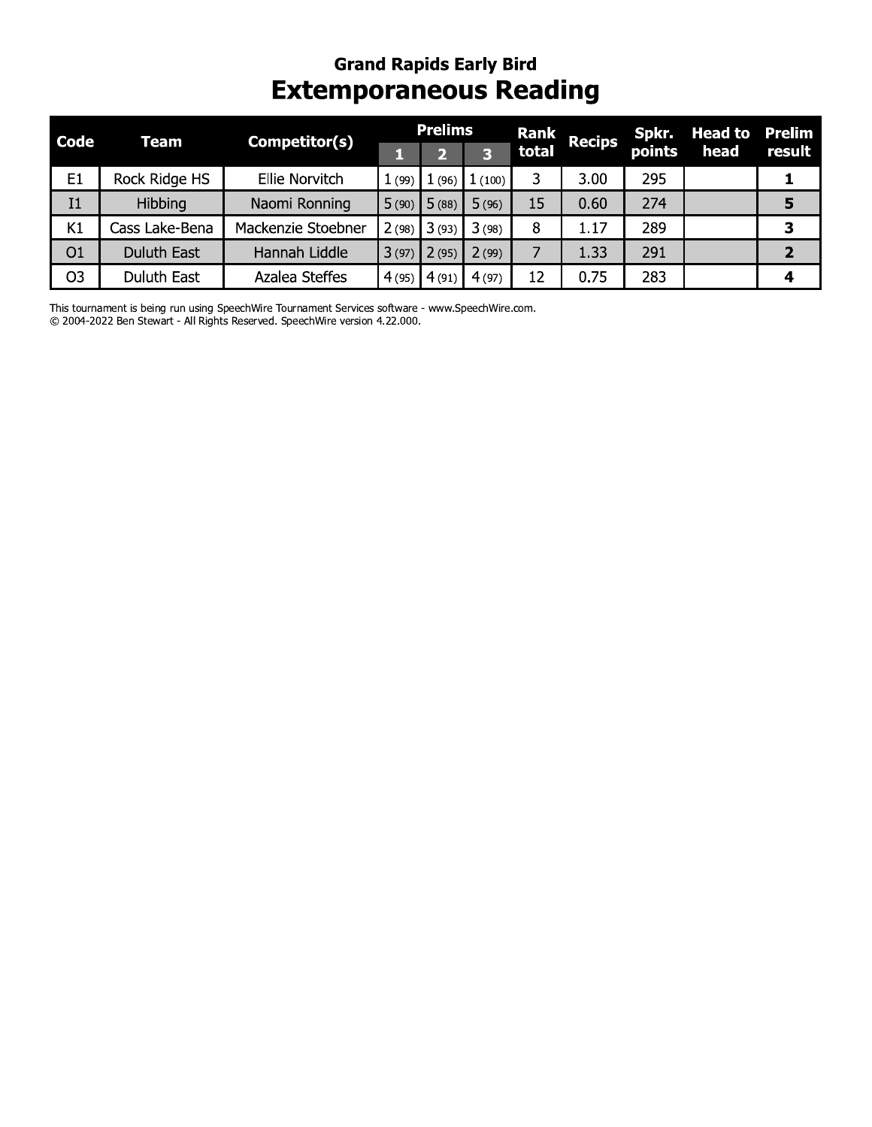#### **Grand Rapids Early Bird Extemporaneous Reading**

| <b>Code</b>    | Team               | Competitor(s)         |       | <b>Prelims</b> |        | Rank  | <b>Recips</b> | Spkr.  | <b>Head to</b> | Prelim |
|----------------|--------------------|-----------------------|-------|----------------|--------|-------|---------------|--------|----------------|--------|
|                |                    |                       |       |                | 3      | total |               | points | head           | result |
| E <sub>1</sub> | Rock Ridge HS      | <b>Ellie Norvitch</b> | 1(99) | 1(96)          | 1(100) |       | 3.00          | 295    |                |        |
| I <sub>1</sub> | Hibbing            | Naomi Ronning         | 5(90) | 5(88)          | 5(96)  | 15    | 0.60          | 274    |                | 5      |
| K1             | Cass Lake-Bena     | Mackenzie Stoebner    | 2(98) | 3(93)          | 3(98)  | 8     | 1.17          | 289    |                | 3      |
| O1             | <b>Duluth East</b> | Hannah Liddle         | 3(97) | 2(95)          | 2(99)  |       | 1.33          | 291    |                | 2      |
| O <sub>3</sub> | <b>Duluth East</b> | Azalea Steffes        | 4(95) | 4(91)          | 4(97)  | 12    | 0.75          | 283    |                | 4      |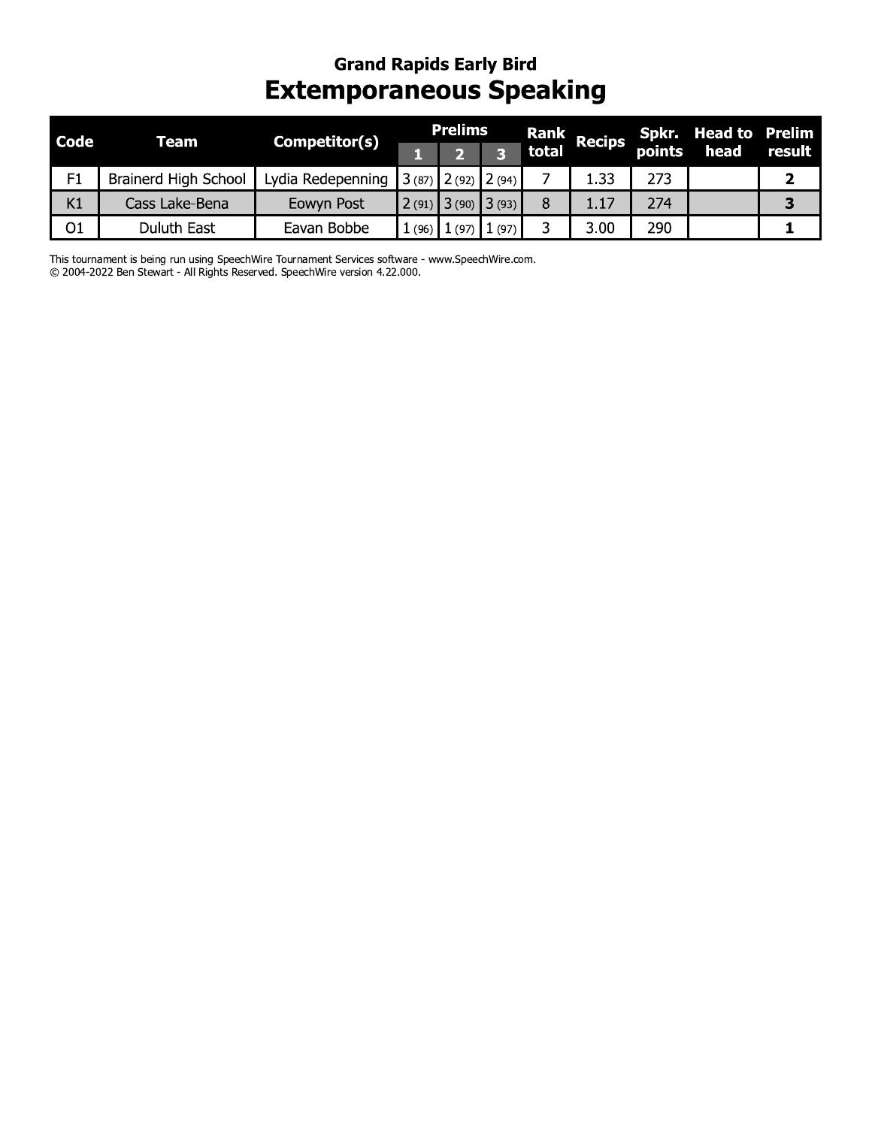### Grand Rapids Early Bird Extemporaneous Speaking

| Code | <b>Team</b>                 | Competitor(s)     |       | <b>Prelims</b>  |       | <b>Rank</b> | <b>Recips</b> |        | <b>Spkr. Head to Prelim</b> |              |
|------|-----------------------------|-------------------|-------|-----------------|-------|-------------|---------------|--------|-----------------------------|--------------|
|      |                             |                   |       |                 | 3     | total       |               | points | head                        | result       |
| F1   | <b>Brainerd High School</b> | Lydia Redepenning | 3(87) | $2(92)$ $2(94)$ |       |             | 1.33          | 273    |                             | $\mathbf{2}$ |
| K1   | Cass Lake-Bena              | Eowyn Post        | 2(91) | $3(90)$ 3(93)   |       | 8           | 1.17          | 274    |                             | 3            |
| O1   | <b>Duluth East</b>          | Eavan Bobbe       |       | $1(96)$ $1(97)$ | 1(97) | 3           | 3.00          | 290    |                             |              |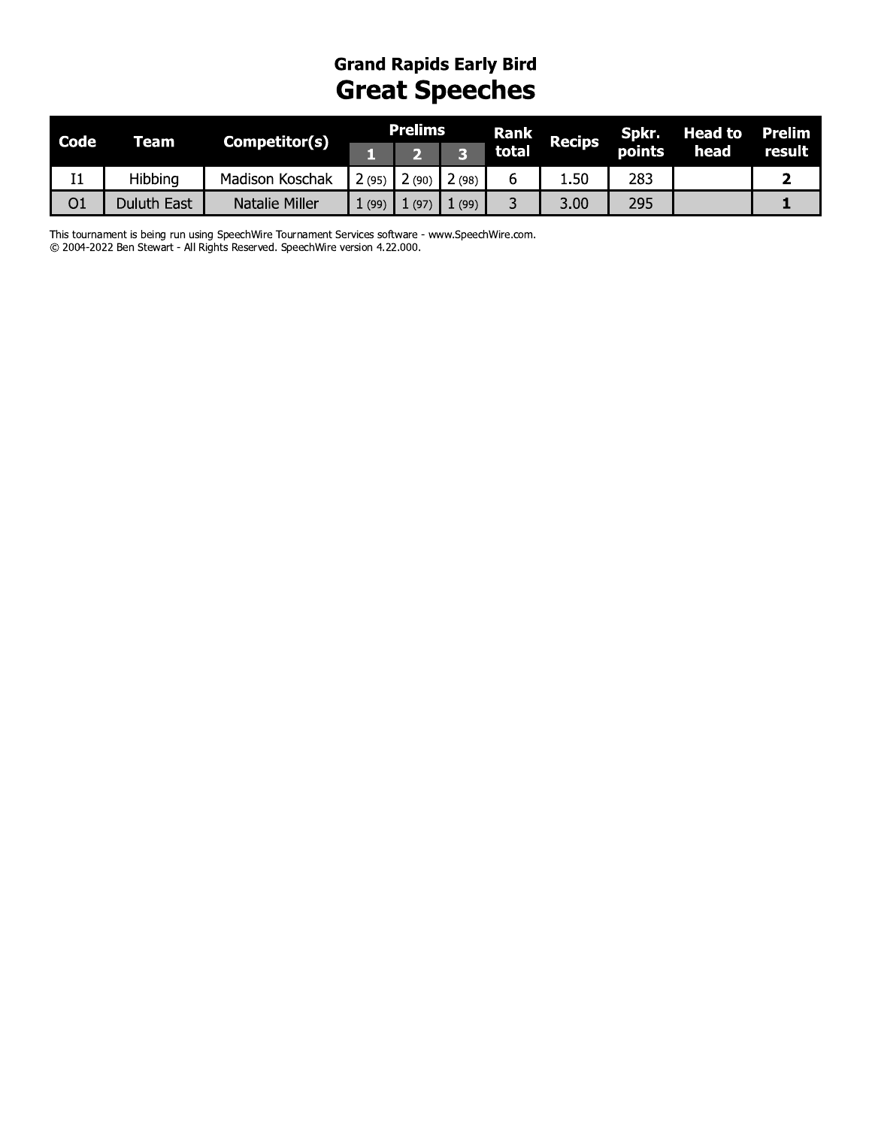#### **Grand Rapids Early Bird Great Speeches**

| <b>Code</b>    | Team        | Competitor(s)   |        | <b>Prelims</b> |      | <b>Rank</b> | <b>Recips</b> | Spkr.  | <b>Head to</b> | <b>Prelim</b> |
|----------------|-------------|-----------------|--------|----------------|------|-------------|---------------|--------|----------------|---------------|
|                |             |                 |        |                |      | total       |               | points | head           | result        |
| I <sub>1</sub> | Hibbing     | Madison Koschak | 2 (95) | (90)           | (98) |             | .50∆          | 283    |                |               |
| O <sub>1</sub> | Duluth East | Natalie Miller  | (99)   | (97)           | (99) |             | 3.00          | 295    |                |               |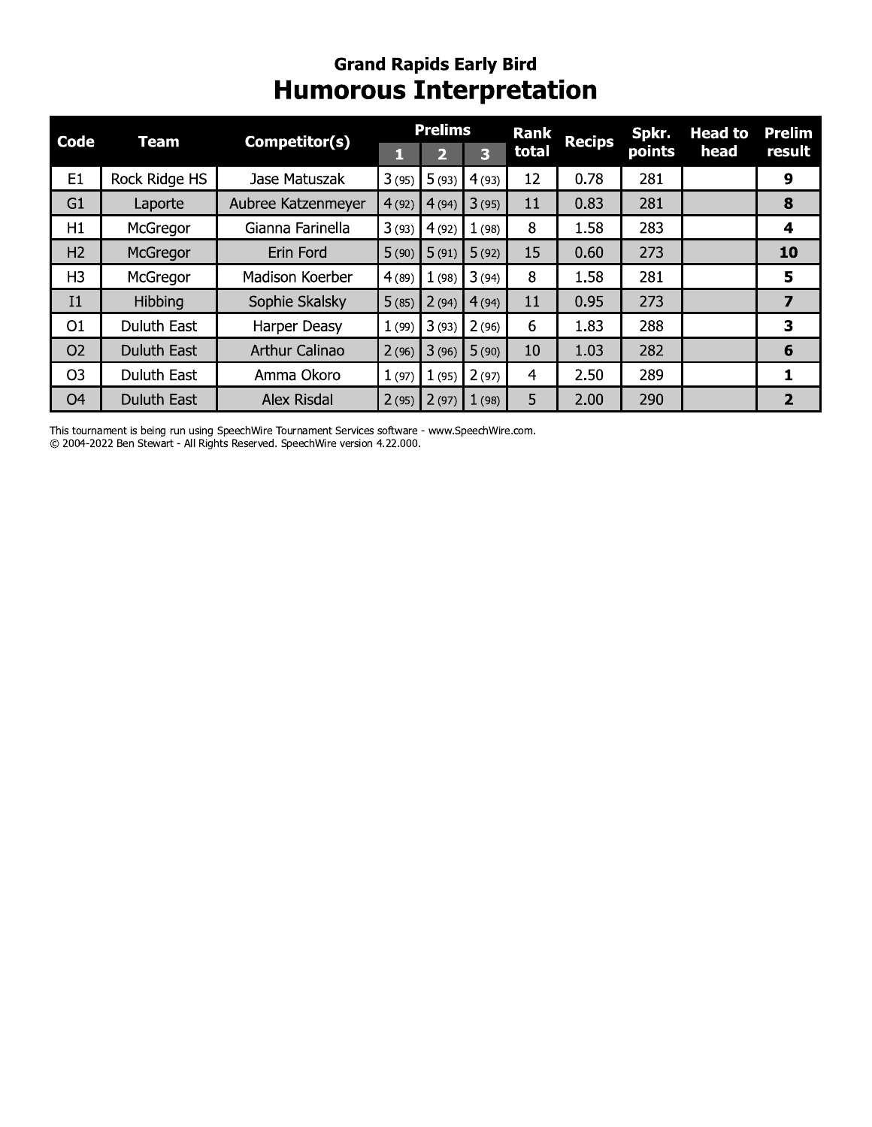#### **Grand Rapids Early Bird Humorous Interpretation**

|                |                    |                       |       | <b>Prelims</b> |       | <b>Rank</b> |               | Spkr.  | <b>Head to</b> | <b>Prelim</b>           |
|----------------|--------------------|-----------------------|-------|----------------|-------|-------------|---------------|--------|----------------|-------------------------|
| <b>Code</b>    | Team               | Competitor(s)         |       | 2              | 3     | total       | <b>Recips</b> | points | head           | result                  |
| E1             | Rock Ridge HS      | Jase Matuszak         | 3(95) | 5(93)          | 4(93) | 12          | 0.78          | 281    |                | $\boldsymbol{9}$        |
| G <sub>1</sub> | Laporte            | Aubree Katzenmeyer    | 4(92) | 4(94)          | 3(95) | 11          | 0.83          | 281    |                | 8                       |
| H1             | McGregor           | Gianna Farinella      | 3(93) | 4(92)          | 1(98) | 8           | 1.58          | 283    |                | 4                       |
| H <sub>2</sub> | McGregor           | Erin Ford             | 5(90) | 5(91)          | 5(92) | 15          | 0.60          | 273    |                | 10                      |
| H <sub>3</sub> | McGregor           | Madison Koerber       | 4(89) | 1(98)          | 3(94) | 8           | 1.58          | 281    |                | 5                       |
| I1             | Hibbing            | Sophie Skalsky        | 5(85) | 2(94)          | 4(94) | 11          | 0.95          | 273    |                | $\overline{\mathbf{z}}$ |
| O <sub>1</sub> | <b>Duluth East</b> | Harper Deasy          | 1(99) | 3(93)          | 2(96) | 6           | 1.83          | 288    |                | 3                       |
| O <sub>2</sub> | <b>Duluth East</b> | <b>Arthur Calinao</b> | 2(96) | 3(96)          | 5(90) | 10          | 1.03          | 282    |                | 6                       |
| O <sub>3</sub> | <b>Duluth East</b> | Amma Okoro            | 1(97) | 1(95)          | 2(97) | 4           | 2.50          | 289    |                | 1                       |
| O <sub>4</sub> | <b>Duluth East</b> | <b>Alex Risdal</b>    | 2(95) | 2(97)          | 1(98) | 5           | 2.00          | 290    |                | $\overline{2}$          |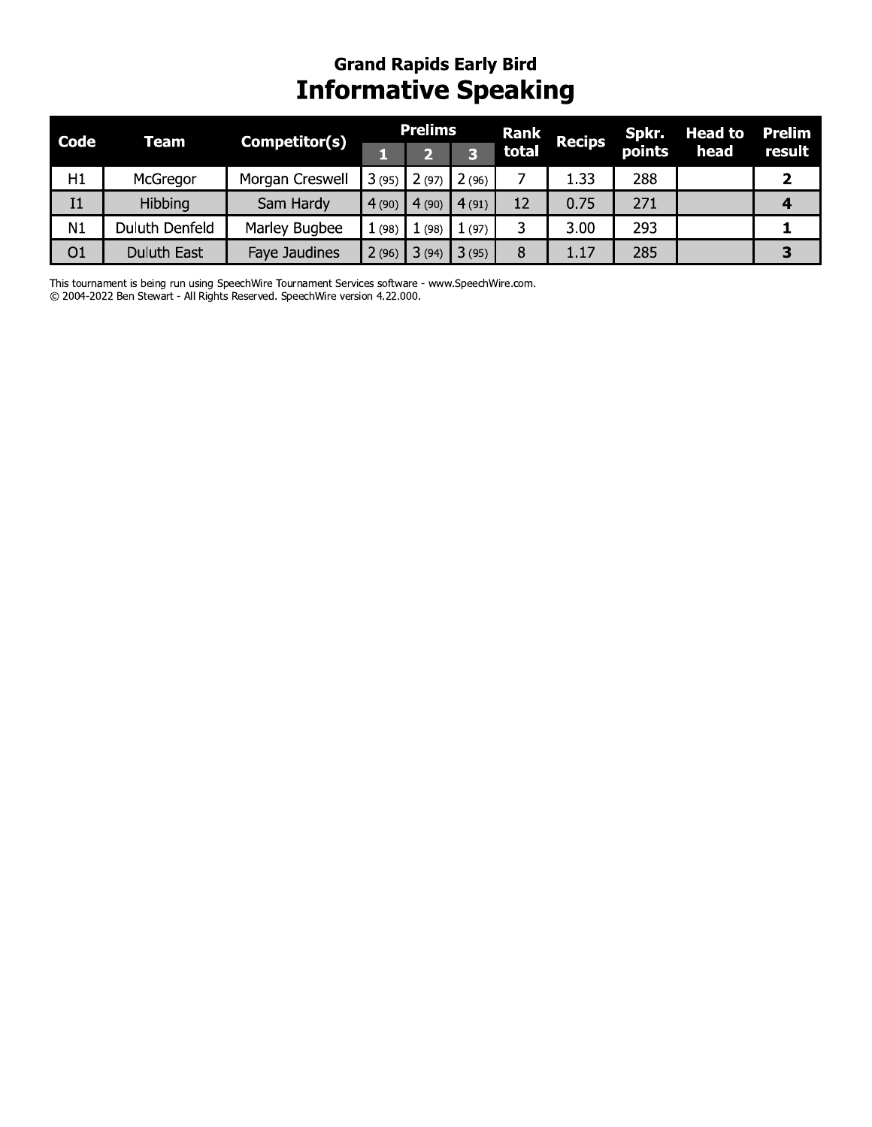### Grand Rapids Early Bird **Informative Speaking**

| <b>Code</b>    |                | Competitor(s)   |       | <b>Prelims</b> |       | <b>Rank</b> | <b>Recips</b> | Spkr.  | <b>Head to</b> | <b>Prelim</b>           |
|----------------|----------------|-----------------|-------|----------------|-------|-------------|---------------|--------|----------------|-------------------------|
|                | <b>Team</b>    |                 | 1     | $\mathbf{Z}$   | 3     | total       |               | points | head           | result                  |
| H1             | McGregor       | Morgan Creswell | 3(95) | 2(97)          | 2(96) | 7           | 1.33          | 288    |                | $\overline{\mathbf{2}}$ |
| I <sub>1</sub> | Hibbing        | Sam Hardy       | 4(90) | 4(90)          | 4(91) | 12          | 0.75          | 271    |                | 4                       |
| N1             | Duluth Denfeld | Marley Bugbee   | 1(98) | 1(98)          | 1(97) | 3           | 3.00          | 293    |                | 1                       |
| O <sub>1</sub> | Duluth East    | Faye Jaudines   | 2(96) | 3(94)          | 3(95) | 8           | 1.17          | 285    |                | 3                       |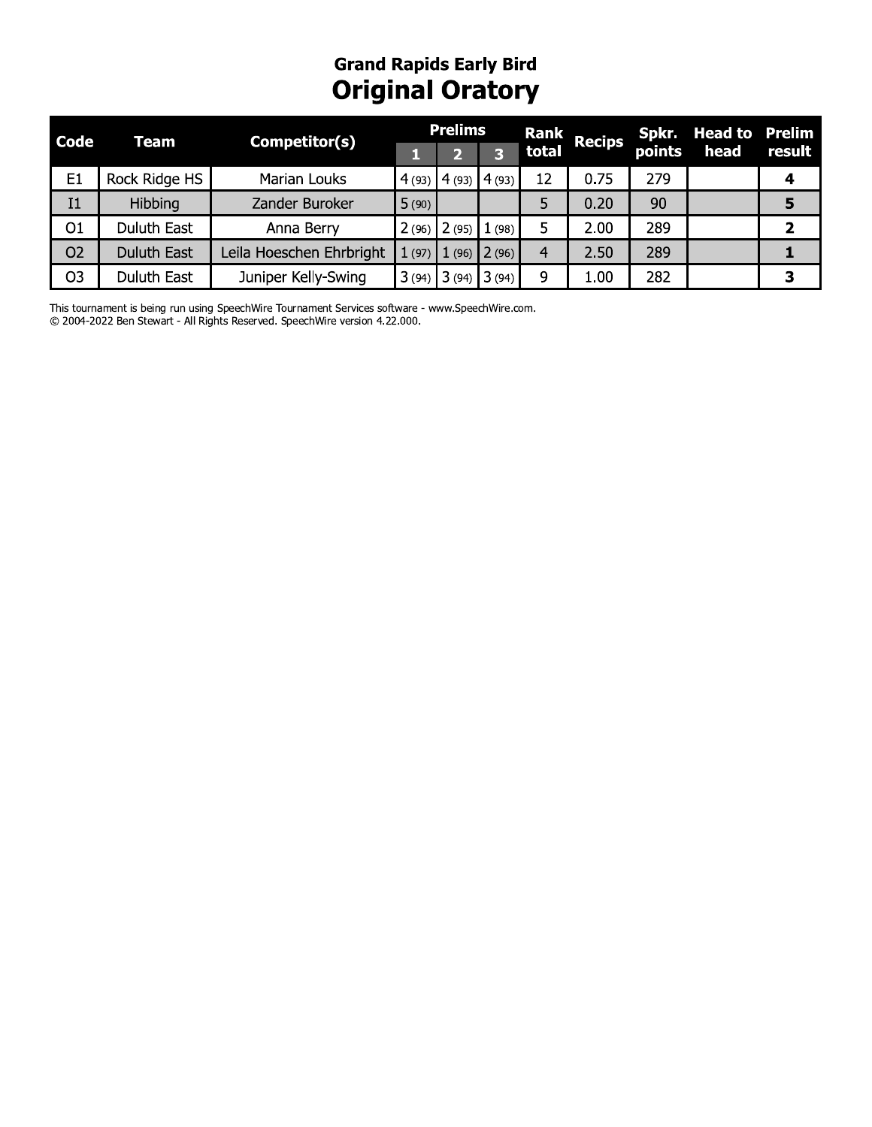## **Grand Rapids Early Bird Original Oratory**

| <b>Code</b>    | Team               | Competitor(s)            |       | <b>Prelims</b>  |       | <b>Rank</b> | Recips |        | Spkr. Head to | Prelim |
|----------------|--------------------|--------------------------|-------|-----------------|-------|-------------|--------|--------|---------------|--------|
|                |                    |                          |       |                 |       | total       |        | points | head          | result |
| E <sub>1</sub> | Rock Ridge HS      | Marian Louks             |       | $4(93)$ $4(93)$ | 4(93) | 12          | 0.75   | 279    |               | 4      |
| I <sub>1</sub> | Hibbing            | Zander Buroker           | 5(90) |                 |       |             | 0.20   | 90     |               | 5      |
| O <sub>1</sub> | Duluth East        | Anna Berry               | 2(96) | 2(95)           | (98)  |             | 2.00   | 289    |               | 2      |
| O <sub>2</sub> | <b>Duluth East</b> | Leila Hoeschen Ehrbright | 1(97) | (96)            | 2(96) | 4           | 2.50   | 289    |               |        |
| O <sub>3</sub> | <b>Duluth East</b> | Juniper Kelly-Swing      | 3(94) | 3(94)           | 3(94) | 9           | 1.00   | 282    |               | 3      |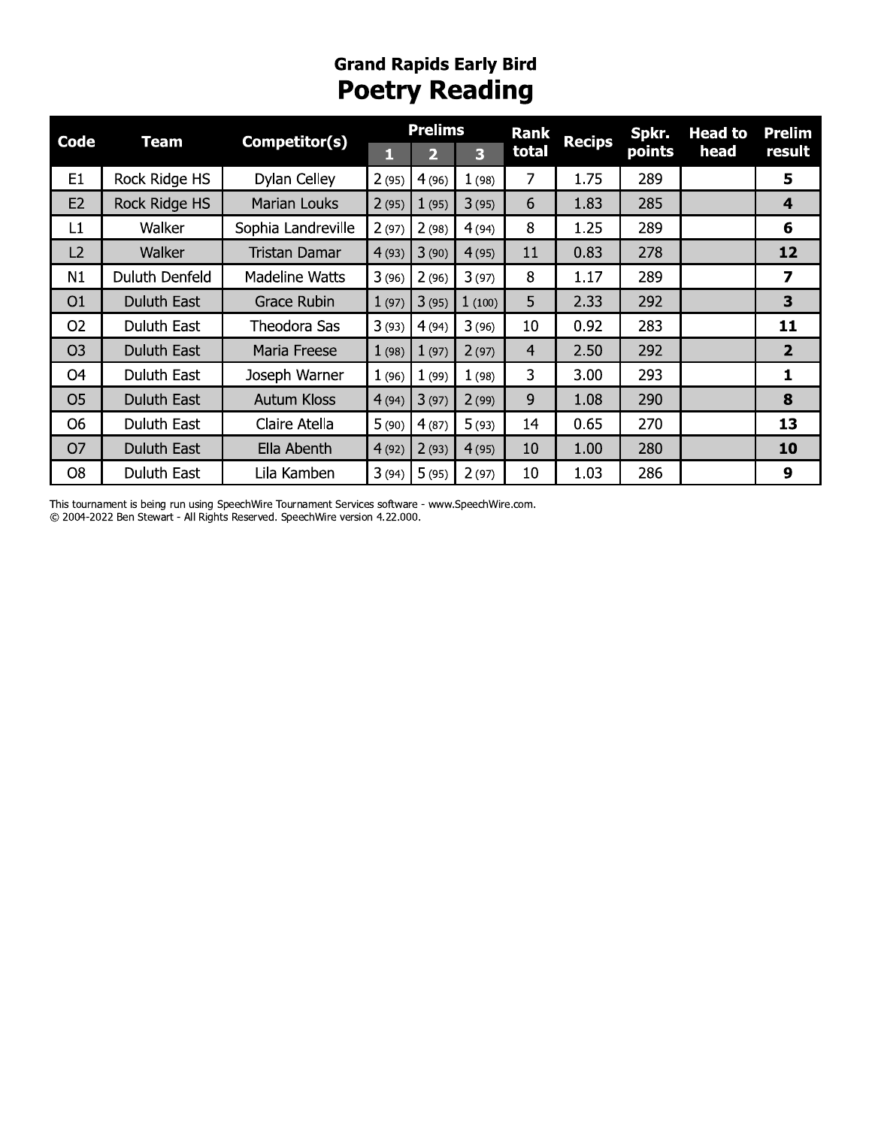### **Grand Rapids Early Bird Poetry Reading**

| <b>Code</b>    | <b>Team</b>    | Competitor(s)       |       | <b>Prelims</b> |        | <b>Rank</b>    | <b>Recips</b> | Spkr.  | <b>Head to</b> | <b>Prelim</b>           |
|----------------|----------------|---------------------|-------|----------------|--------|----------------|---------------|--------|----------------|-------------------------|
|                |                |                     | 1     | 2              | 3      | total          |               | points | head           | result                  |
| E <sub>1</sub> | Rock Ridge HS  | Dylan Celley        | 2(95) | 4(96)          | 1(98)  | $\overline{7}$ | 1.75          | 289    |                | 5                       |
| E2             | Rock Ridge HS  | <b>Marian Louks</b> | 2(95) | 1(95)          | 3(95)  | 6              | 1.83          | 285    |                | 4                       |
| L1             | Walker         | Sophia Landreville  | 2(97) | 2(98)          | 4(94)  | 8              | 1.25          | 289    |                | 6                       |
| L2             | Walker         | Tristan Damar       | 4(93) | 3(90)          | 4(95)  | 11             | 0.83          | 278    |                | 12                      |
| N1             | Duluth Denfeld | Madeline Watts      | 3(96) | 2(96)          | 3(97)  | 8              | 1.17          | 289    |                | 7                       |
| O <sub>1</sub> | Duluth East    | Grace Rubin         | 1(97) | 3(95)          | 1(100) | 5              | 2.33          | 292    |                | 3                       |
| O <sub>2</sub> | Duluth East    | Theodora Sas        | 3(93) | 4(94)          | 3(96)  | 10             | 0.92          | 283    |                | 11                      |
| O <sub>3</sub> | Duluth East    | Maria Freese        | 1(98) | 1(97)          | 2(97)  | 4              | 2.50          | 292    |                | $\overline{\mathbf{2}}$ |
| O <sub>4</sub> | Duluth East    | Joseph Warner       | 1(96) | 1(99)          | 1(98)  | 3              | 3.00          | 293    |                | 1                       |
| O <sub>5</sub> | Duluth East    | <b>Autum Kloss</b>  | 4(94) | 3(97)          | 2(99)  | 9              | 1.08          | 290    |                | 8                       |
| O <sub>6</sub> | Duluth East    | Claire Atella       | 5(90) | 4(87)          | 5(93)  | 14             | 0.65          | 270    |                | 13                      |
| O <sub>7</sub> | Duluth East    | Ella Abenth         | 4(92) | 2(93)          | 4(95)  | 10             | 1.00          | 280    |                | 10                      |
| O <sub>8</sub> | Duluth East    | Lila Kamben         | 3(94) | 5(95)          | 2(97)  | 10             | 1.03          | 286    |                | 9                       |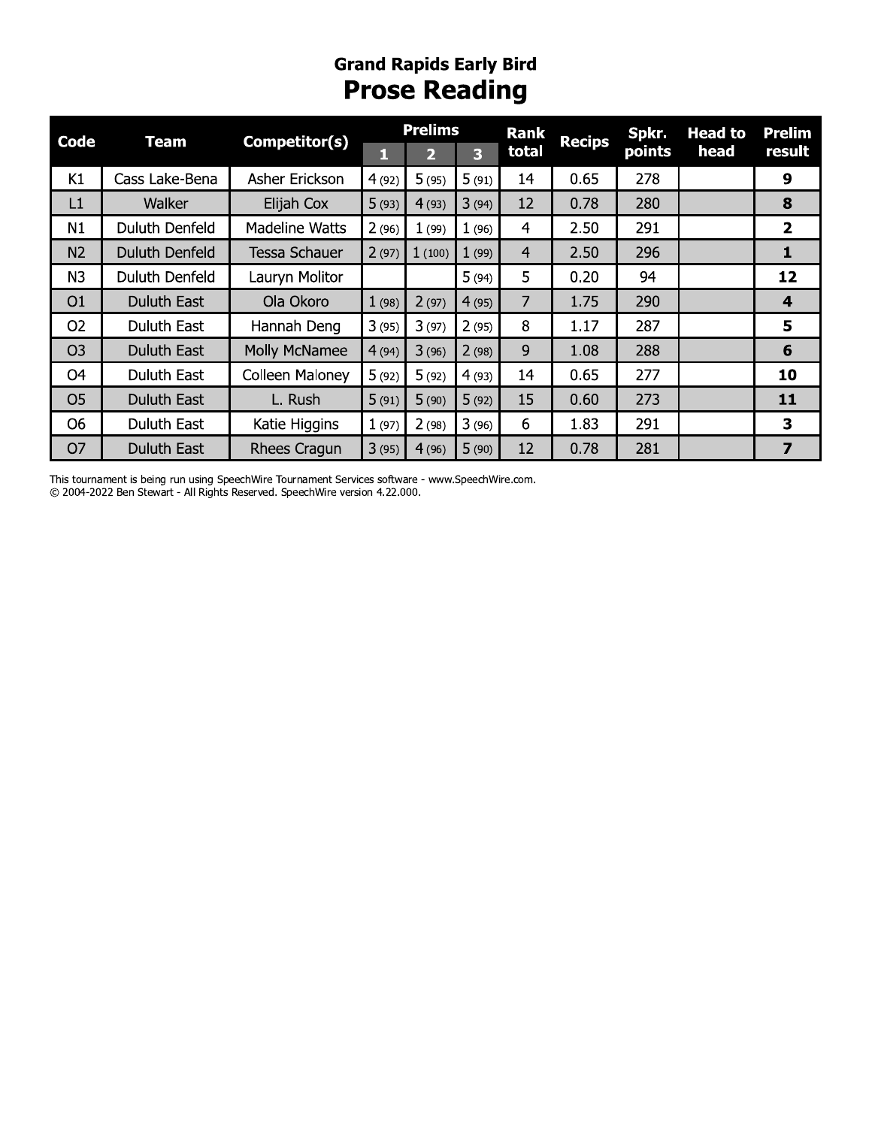# **Grand Rapids Early Bird Prose Reading**

| <b>Code</b>    | <b>Team</b>        | Competitor(s)   | <b>Prelims</b> |        |       | <b>Rank</b>    | <b>Recips</b> | Spkr.  | <b>Head to</b> | <b>Prelim</b>           |
|----------------|--------------------|-----------------|----------------|--------|-------|----------------|---------------|--------|----------------|-------------------------|
|                |                    |                 | 1              | 2      | 3     | total          |               | points | head           | result                  |
| K1             | Cass Lake-Bena     | Asher Erickson  | 4(92)          | 5(95)  | 5(91) | 14             | 0.65          | 278    |                | 9                       |
| L1             | Walker             | Elijah Cox      | 5(93)          | 4(93)  | 3(94) | 12             | 0.78          | 280    |                | 8                       |
| N1             | Duluth Denfeld     | Madeline Watts  | 2(96)          | 1(99)  | 1(96) | 4              | 2.50          | 291    |                | $\overline{2}$          |
| N2             | Duluth Denfeld     | Tessa Schauer   | 2(97)          | 1(100) | 1(99) | $\overline{4}$ | 2.50          | 296    |                | 1                       |
| N3             | Duluth Denfeld     | Lauryn Molitor  |                |        | 5(94) | 5              | 0.20          | 94     |                | 12                      |
| O1             | <b>Duluth East</b> | Ola Okoro       | 1(98)          | 2(97)  | 4(95) | $\overline{7}$ | 1.75          | 290    |                | $\overline{\mathbf{4}}$ |
| O <sub>2</sub> | Duluth East        | Hannah Deng     | 3(95)          | 3(97)  | 2(95) | 8              | 1.17          | 287    |                | 5                       |
| O <sub>3</sub> | <b>Duluth East</b> | Molly McNamee   | 4(94)          | 3(96)  | 2(98) | 9              | 1.08          | 288    |                | 6                       |
| O <sub>4</sub> | Duluth East        | Colleen Maloney | 5(92)          | 5(92)  | 4(93) | 14             | 0.65          | 277    |                | 10                      |
| O <sub>5</sub> | <b>Duluth East</b> | L. Rush         | 5(91)          | 5(90)  | 5(92) | 15             | 0.60          | 273    |                | 11                      |
| <b>O6</b>      | Duluth East        | Katie Higgins   | 1(97)          | 2(98)  | 3(96) | 6              | 1.83          | 291    |                | 3                       |
| O <sub>7</sub> | <b>Duluth East</b> | Rhees Cragun    | 3(95)          | 4(96)  | 5(90) | 12             | 0.78          | 281    |                | 7                       |